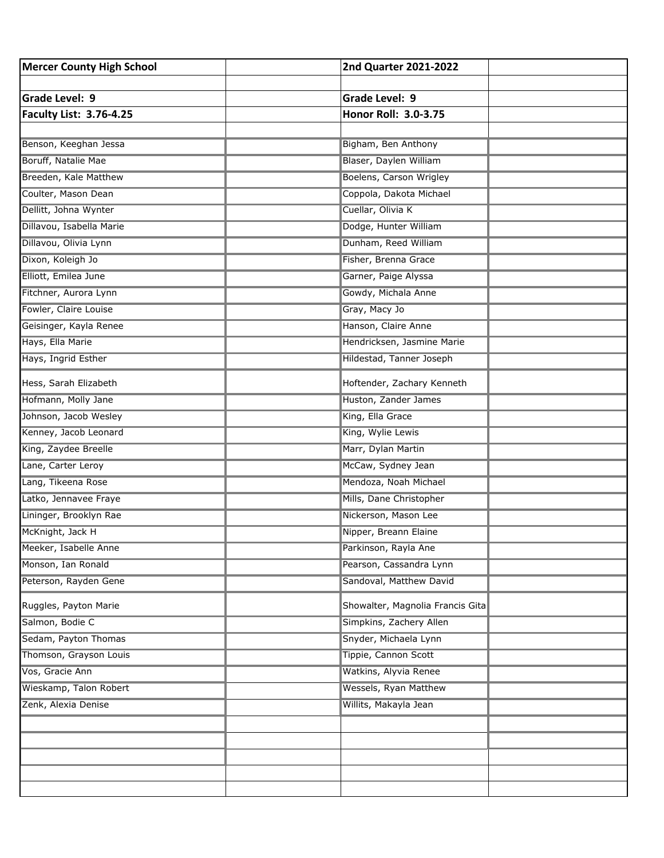| <b>Mercer County High School</b> | 2nd Quarter 2021-2022            |  |
|----------------------------------|----------------------------------|--|
|                                  |                                  |  |
| Grade Level: 9                   | <b>Grade Level: 9</b>            |  |
| <b>Faculty List: 3.76-4.25</b>   | Honor Roll: 3.0-3.75             |  |
|                                  |                                  |  |
| Benson, Keeghan Jessa            | Bigham, Ben Anthony              |  |
| Boruff, Natalie Mae              | Blaser, Daylen William           |  |
| Breeden, Kale Matthew            | Boelens, Carson Wrigley          |  |
| Coulter, Mason Dean              | Coppola, Dakota Michael          |  |
| Dellitt, Johna Wynter            | Cuellar, Olivia K                |  |
| Dillavou, Isabella Marie         | Dodge, Hunter William            |  |
| Dillavou, Olivia Lynn            | Dunham, Reed William             |  |
| Dixon, Koleigh Jo                | Fisher, Brenna Grace             |  |
| Elliott, Emilea June             | Garner, Paige Alyssa             |  |
| Fitchner, Aurora Lynn            | Gowdy, Michala Anne              |  |
| Fowler, Claire Louise            | Gray, Macy Jo                    |  |
| Geisinger, Kayla Renee           | Hanson, Claire Anne              |  |
| Hays, Ella Marie                 | Hendricksen, Jasmine Marie       |  |
| Hays, Ingrid Esther              | Hildestad, Tanner Joseph         |  |
| Hess, Sarah Elizabeth            | Hoftender, Zachary Kenneth       |  |
| Hofmann, Molly Jane              | Huston, Zander James             |  |
| Johnson, Jacob Wesley            | King, Ella Grace                 |  |
| Kenney, Jacob Leonard            | King, Wylie Lewis                |  |
| King, Zaydee Breelle             | Marr, Dylan Martin               |  |
| Lane, Carter Leroy               | McCaw, Sydney Jean               |  |
| Lang, Tikeena Rose               | Mendoza, Noah Michael            |  |
| Latko, Jennavee Fraye            | Mills, Dane Christopher          |  |
| Lininger, Brooklyn Rae           | Nickerson, Mason Lee             |  |
| McKnight, Jack H                 | Nipper, Breann Elaine            |  |
| Meeker, Isabelle Anne            | Parkinson, Rayla Ane             |  |
| Monson, Ian Ronald               | Pearson, Cassandra Lynn          |  |
| Peterson, Rayden Gene            | Sandoval, Matthew David          |  |
| Ruggles, Payton Marie            | Showalter, Magnolia Francis Gita |  |
| Salmon, Bodie C                  | Simpkins, Zachery Allen          |  |
| Sedam, Payton Thomas             | Snyder, Michaela Lynn            |  |
| Thomson, Grayson Louis           | Tippie, Cannon Scott             |  |
| Vos, Gracie Ann                  | Watkins, Alyvia Renee            |  |
| Wieskamp, Talon Robert           | Wessels, Ryan Matthew            |  |
| Zenk, Alexia Denise              | Willits, Makayla Jean            |  |
|                                  |                                  |  |
|                                  |                                  |  |
|                                  |                                  |  |
|                                  |                                  |  |
|                                  |                                  |  |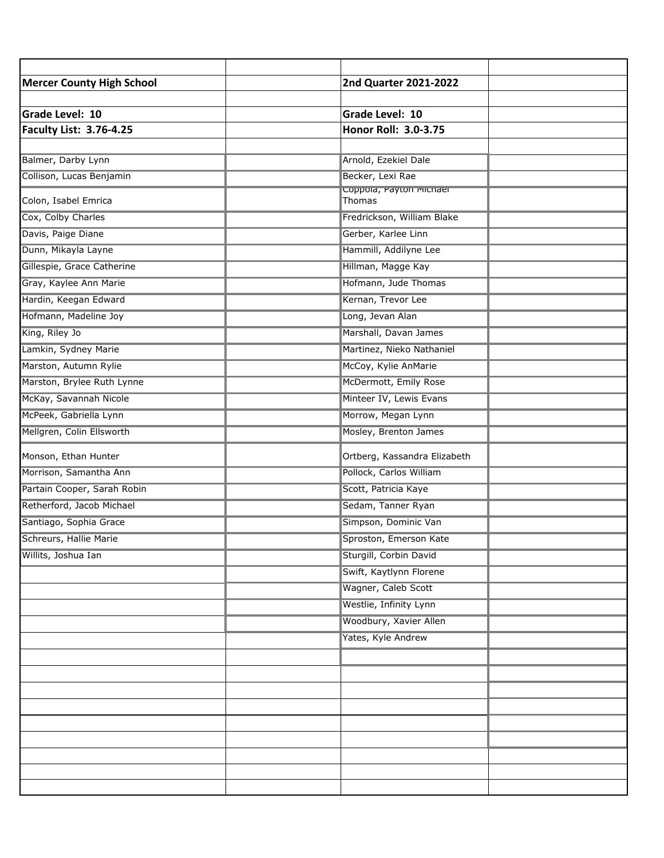| <b>Mercer County High School</b> | 2nd Quarter 2021-2022             |  |
|----------------------------------|-----------------------------------|--|
|                                  |                                   |  |
| Grade Level: 10                  | Grade Level: 10                   |  |
| <b>Faculty List: 3.76-4.25</b>   | Honor Roll: 3.0-3.75              |  |
|                                  |                                   |  |
| Balmer, Darby Lynn               | Arnold, Ezekiel Dale              |  |
| Collison, Lucas Benjamin         | Becker, Lexi Rae                  |  |
| Colon, Isabel Emrica             | Coppoia, Payton Michael<br>Thomas |  |
| Cox, Colby Charles               | Fredrickson, William Blake        |  |
| Davis, Paige Diane               | Gerber, Karlee Linn               |  |
| Dunn, Mikayla Layne              | Hammill, Addilyne Lee             |  |
| Gillespie, Grace Catherine       | Hillman, Magge Kay                |  |
| Gray, Kaylee Ann Marie           | Hofmann, Jude Thomas              |  |
| Hardin, Keegan Edward            | Kernan, Trevor Lee                |  |
| Hofmann, Madeline Joy            | Long, Jevan Alan                  |  |
| King, Riley Jo                   | Marshall, Davan James             |  |
| Lamkin, Sydney Marie             | Martinez, Nieko Nathaniel         |  |
| Marston, Autumn Rylie            | McCoy, Kylie AnMarie              |  |
| Marston, Brylee Ruth Lynne       | McDermott, Emily Rose             |  |
| McKay, Savannah Nicole           | Minteer IV, Lewis Evans           |  |
| McPeek, Gabriella Lynn           | Morrow, Megan Lynn                |  |
| Mellgren, Colin Ellsworth        | Mosley, Brenton James             |  |
| Monson, Ethan Hunter             | Ortberg, Kassandra Elizabeth      |  |
| Morrison, Samantha Ann           | Pollock, Carlos William           |  |
| Partain Cooper, Sarah Robin      | Scott, Patricia Kaye              |  |
| Retherford, Jacob Michael        | Sedam, Tanner Ryan                |  |
| Santiago, Sophia Grace           | Simpson, Dominic Van              |  |
| Schreurs, Hallie Marie           | Sproston, Emerson Kate            |  |
| Willits, Joshua Ian              | Sturgill, Corbin David            |  |
|                                  | Swift, Kaytlynn Florene           |  |
|                                  | Wagner, Caleb Scott               |  |
|                                  | Westlie, Infinity Lynn            |  |
|                                  | Woodbury, Xavier Allen            |  |
|                                  | Yates, Kyle Andrew                |  |
|                                  |                                   |  |
|                                  |                                   |  |
|                                  |                                   |  |
|                                  |                                   |  |
|                                  |                                   |  |
|                                  |                                   |  |
|                                  |                                   |  |
|                                  |                                   |  |
|                                  |                                   |  |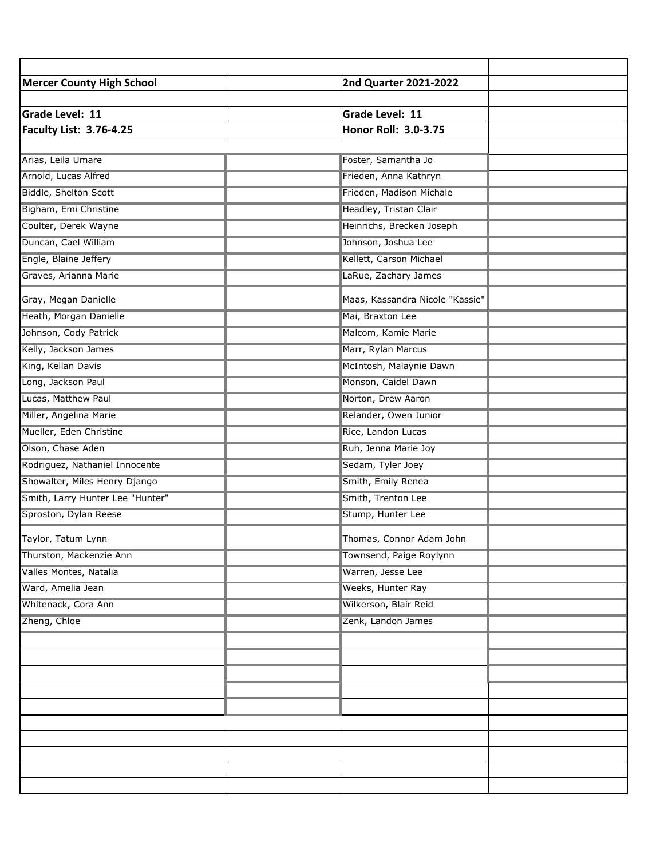| <b>Mercer County High School</b> | <b>2nd Quarter 2021-2022</b>    |  |
|----------------------------------|---------------------------------|--|
|                                  |                                 |  |
| <b>Grade Level: 11</b>           | <b>Grade Level: 11</b>          |  |
| <b>Faculty List: 3.76-4.25</b>   | Honor Roll: 3.0-3.75            |  |
|                                  |                                 |  |
| Arias, Leila Umare               | Foster, Samantha Jo             |  |
| Arnold, Lucas Alfred             | Frieden, Anna Kathryn           |  |
| Biddle, Shelton Scott            | Frieden, Madison Michale        |  |
| Bigham, Emi Christine            | Headley, Tristan Clair          |  |
| Coulter, Derek Wayne             | Heinrichs, Brecken Joseph       |  |
| Duncan, Cael William             | Johnson, Joshua Lee             |  |
| Engle, Blaine Jeffery            | Kellett, Carson Michael         |  |
| Graves, Arianna Marie            | LaRue, Zachary James            |  |
| Gray, Megan Danielle             | Maas, Kassandra Nicole "Kassie" |  |
| Heath, Morgan Danielle           | Mai, Braxton Lee                |  |
| Johnson, Cody Patrick            | Malcom, Kamie Marie             |  |
| Kelly, Jackson James             | Marr, Rylan Marcus              |  |
| King, Kellan Davis               | McIntosh, Malaynie Dawn         |  |
| Long, Jackson Paul               | Monson, Caidel Dawn             |  |
| Lucas, Matthew Paul              | Norton, Drew Aaron              |  |
| Miller, Angelina Marie           | Relander, Owen Junior           |  |
| Mueller, Eden Christine          | Rice, Landon Lucas              |  |
| Olson, Chase Aden                | Ruh, Jenna Marie Joy            |  |
| Rodriguez, Nathaniel Innocente   | Sedam, Tyler Joey               |  |
| Showalter, Miles Henry Django    | Smith, Emily Renea              |  |
| Smith, Larry Hunter Lee "Hunter" | Smith, Trenton Lee              |  |
| Sproston, Dylan Reese            | Stump, Hunter Lee               |  |
| Taylor, Tatum Lynn               | Thomas, Connor Adam John        |  |
| Thurston, Mackenzie Ann          | Townsend, Paige Roylynn         |  |
| Valles Montes, Natalia           | Warren, Jesse Lee               |  |
| Ward, Amelia Jean                | Weeks, Hunter Ray               |  |
| Whitenack, Cora Ann              | Wilkerson, Blair Reid           |  |
| Zheng, Chloe                     | Zenk, Landon James              |  |
|                                  |                                 |  |
|                                  |                                 |  |
|                                  |                                 |  |
|                                  |                                 |  |
|                                  |                                 |  |
|                                  |                                 |  |
|                                  |                                 |  |
|                                  |                                 |  |
|                                  |                                 |  |
|                                  |                                 |  |